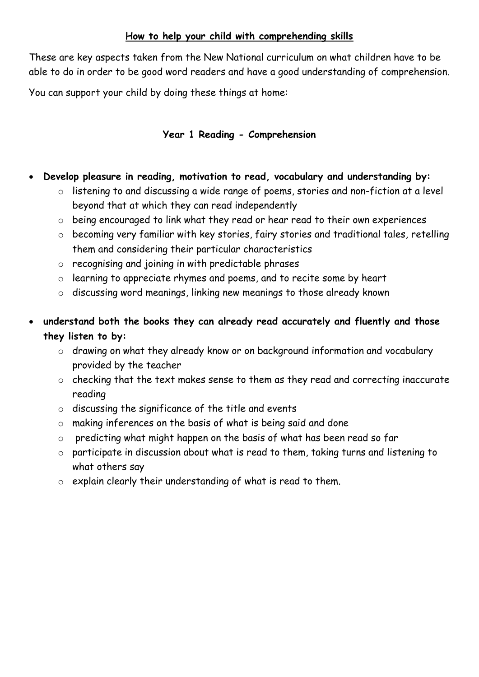#### **How to help your child with comprehending skills**

These are key aspects taken from the New National curriculum on what children have to be able to do in order to be good word readers and have a good understanding of comprehension.

You can support your child by doing these things at home:

# **Year 1 Reading - Comprehension**

- **Develop pleasure in reading, motivation to read, vocabulary and understanding by:**
	- o listening to and discussing a wide range of poems, stories and non-fiction at a level beyond that at which they can read independently
	- o being encouraged to link what they read or hear read to their own experiences
	- o becoming very familiar with key stories, fairy stories and traditional tales, retelling them and considering their particular characteristics
	- o recognising and joining in with predictable phrases
	- o learning to appreciate rhymes and poems, and to recite some by heart
	- o discussing word meanings, linking new meanings to those already known
- **understand both the books they can already read accurately and fluently and those they listen to by:**
	- o drawing on what they already know or on background information and vocabulary provided by the teacher
	- o checking that the text makes sense to them as they read and correcting inaccurate reading
	- o discussing the significance of the title and events
	- o making inferences on the basis of what is being said and done
	- o predicting what might happen on the basis of what has been read so far
	- o participate in discussion about what is read to them, taking turns and listening to what others say
	- o explain clearly their understanding of what is read to them.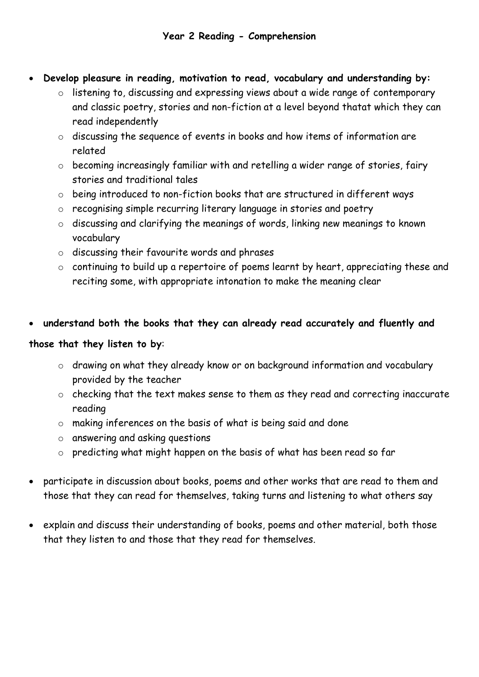- **Develop pleasure in reading, motivation to read, vocabulary and understanding by:**
	- o listening to, discussing and expressing views about a wide range of contemporary and classic poetry, stories and non-fiction at a level beyond thatat which they can read independently
	- o discussing the sequence of events in books and how items of information are related
	- o becoming increasingly familiar with and retelling a wider range of stories, fairy stories and traditional tales
	- o being introduced to non-fiction books that are structured in different ways
	- o recognising simple recurring literary language in stories and poetry
	- o discussing and clarifying the meanings of words, linking new meanings to known vocabulary
	- o discussing their favourite words and phrases
	- o continuing to build up a repertoire of poems learnt by heart, appreciating these and reciting some, with appropriate intonation to make the meaning clear

# **understand both the books that they can already read accurately and fluently and**

#### **those that they listen to by**:

- o drawing on what they already know or on background information and vocabulary provided by the teacher
- o checking that the text makes sense to them as they read and correcting inaccurate reading
- o making inferences on the basis of what is being said and done
- o answering and asking questions
- o predicting what might happen on the basis of what has been read so far
- participate in discussion about books, poems and other works that are read to them and those that they can read for themselves, taking turns and listening to what others say
- explain and discuss their understanding of books, poems and other material, both those that they listen to and those that they read for themselves.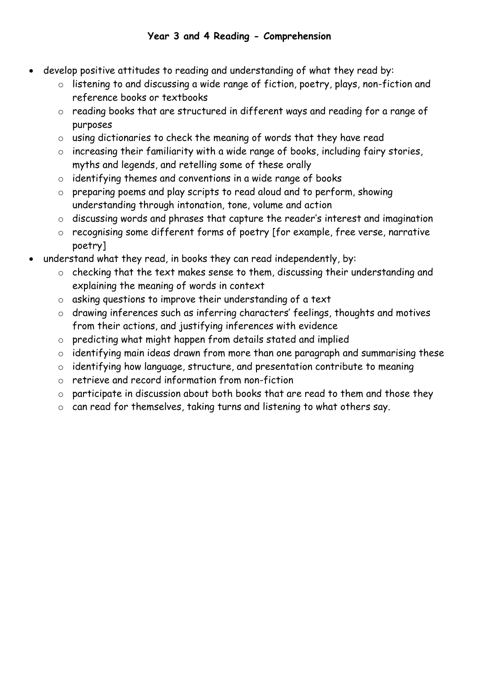- develop positive attitudes to reading and understanding of what they read by:
	- o listening to and discussing a wide range of fiction, poetry, plays, non-fiction and reference books or textbooks
	- o reading books that are structured in different ways and reading for a range of purposes
	- o using dictionaries to check the meaning of words that they have read
	- o increasing their familiarity with a wide range of books, including fairy stories, myths and legends, and retelling some of these orally
	- o identifying themes and conventions in a wide range of books
	- o preparing poems and play scripts to read aloud and to perform, showing understanding through intonation, tone, volume and action
	- o discussing words and phrases that capture the reader's interest and imagination
	- o recognising some different forms of poetry [for example, free verse, narrative poetry]
- understand what they read, in books they can read independently, by:
	- o checking that the text makes sense to them, discussing their understanding and explaining the meaning of words in context
	- o asking questions to improve their understanding of a text
	- o drawing inferences such as inferring characters' feelings, thoughts and motives from their actions, and justifying inferences with evidence
	- o predicting what might happen from details stated and implied
	- o identifying main ideas drawn from more than one paragraph and summarising these
	- o identifying how language, structure, and presentation contribute to meaning
	- o retrieve and record information from non-fiction
	- o participate in discussion about both books that are read to them and those they
	- o can read for themselves, taking turns and listening to what others say.